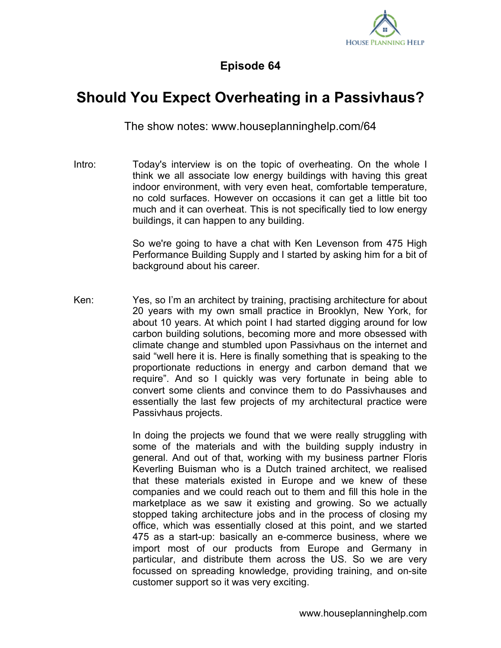

## **Episode 64**

## **Should You Expect Overheating in a Passivhaus?**

The show notes: www.houseplanninghelp.com/64

Intro: Today's interview is on the topic of overheating. On the whole I think we all associate low energy buildings with having this great indoor environment, with very even heat, comfortable temperature, no cold surfaces. However on occasions it can get a little bit too much and it can overheat. This is not specifically tied to low energy buildings, it can happen to any building.

> So we're going to have a chat with Ken Levenson from 475 High Performance Building Supply and I started by asking him for a bit of background about his career.

Ken: Yes, so I'm an architect by training, practising architecture for about 20 years with my own small practice in Brooklyn, New York, for about 10 years. At which point I had started digging around for low carbon building solutions, becoming more and more obsessed with climate change and stumbled upon Passivhaus on the internet and said "well here it is. Here is finally something that is speaking to the proportionate reductions in energy and carbon demand that we require". And so I quickly was very fortunate in being able to convert some clients and convince them to do Passivhauses and essentially the last few projects of my architectural practice were Passivhaus projects.

> In doing the projects we found that we were really struggling with some of the materials and with the building supply industry in general. And out of that, working with my business partner Floris Keverling Buisman who is a Dutch trained architect, we realised that these materials existed in Europe and we knew of these companies and we could reach out to them and fill this hole in the marketplace as we saw it existing and growing. So we actually stopped taking architecture jobs and in the process of closing my office, which was essentially closed at this point, and we started 475 as a start-up: basically an e-commerce business, where we import most of our products from Europe and Germany in particular, and distribute them across the US. So we are very focussed on spreading knowledge, providing training, and on-site customer support so it was very exciting.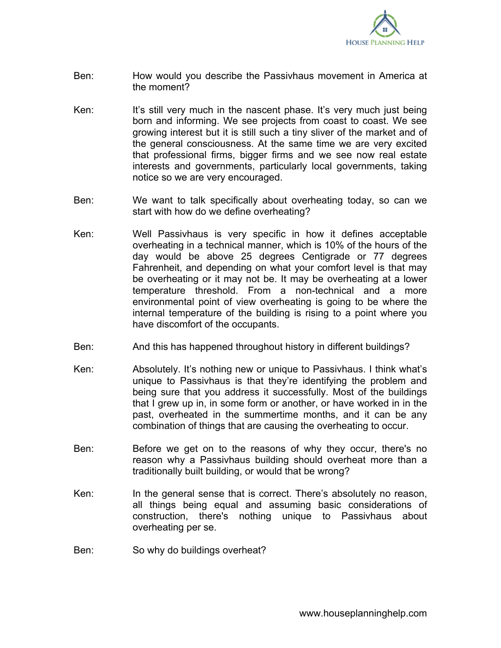

- Ben: How would you describe the Passivhaus movement in America at the moment?
- Ken: It's still very much in the nascent phase. It's very much just being born and informing. We see projects from coast to coast. We see growing interest but it is still such a tiny sliver of the market and of the general consciousness. At the same time we are very excited that professional firms, bigger firms and we see now real estate interests and governments, particularly local governments, taking notice so we are very encouraged.
- Ben: We want to talk specifically about overheating today, so can we start with how do we define overheating?
- Ken: Well Passivhaus is very specific in how it defines acceptable overheating in a technical manner, which is 10% of the hours of the day would be above 25 degrees Centigrade or 77 degrees Fahrenheit, and depending on what your comfort level is that may be overheating or it may not be. It may be overheating at a lower temperature threshold. From a non-technical and a more environmental point of view overheating is going to be where the internal temperature of the building is rising to a point where you have discomfort of the occupants.
- Ben: And this has happened throughout history in different buildings?
- Ken: Absolutely. It's nothing new or unique to Passivhaus. I think what's unique to Passivhaus is that they're identifying the problem and being sure that you address it successfully. Most of the buildings that I grew up in, in some form or another, or have worked in in the past, overheated in the summertime months, and it can be any combination of things that are causing the overheating to occur.
- Ben: Before we get on to the reasons of why they occur, there's no reason why a Passivhaus building should overheat more than a traditionally built building, or would that be wrong?
- Ken: In the general sense that is correct. There's absolutely no reason, all things being equal and assuming basic considerations of construction, there's nothing unique to Passivhaus about overheating per se.
- Ben: So why do buildings overheat?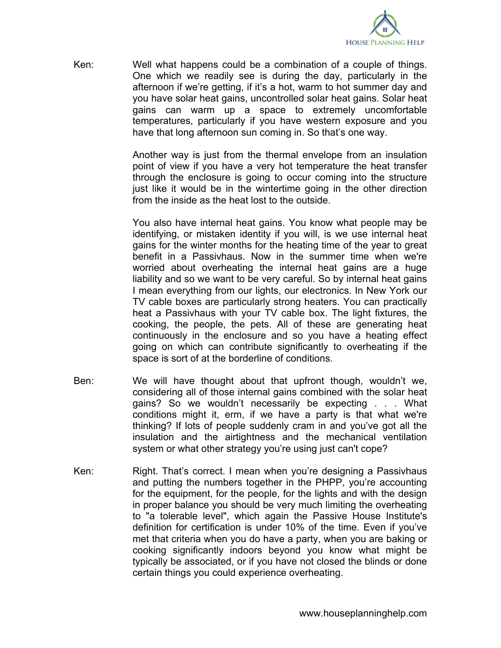

Ken: Well what happens could be a combination of a couple of things. One which we readily see is during the day, particularly in the afternoon if we're getting, if it's a hot, warm to hot summer day and you have solar heat gains, uncontrolled solar heat gains. Solar heat gains can warm up a space to extremely uncomfortable temperatures, particularly if you have western exposure and you have that long afternoon sun coming in. So that's one way.

> Another way is just from the thermal envelope from an insulation point of view if you have a very hot temperature the heat transfer through the enclosure is going to occur coming into the structure just like it would be in the wintertime going in the other direction from the inside as the heat lost to the outside.

> You also have internal heat gains. You know what people may be identifying, or mistaken identity if you will, is we use internal heat gains for the winter months for the heating time of the year to great benefit in a Passivhaus. Now in the summer time when we're worried about overheating the internal heat gains are a huge liability and so we want to be very careful. So by internal heat gains I mean everything from our lights, our electronics. In New York our TV cable boxes are particularly strong heaters. You can practically heat a Passivhaus with your TV cable box. The light fixtures, the cooking, the people, the pets. All of these are generating heat continuously in the enclosure and so you have a heating effect going on which can contribute significantly to overheating if the space is sort of at the borderline of conditions.

- Ben: We will have thought about that upfront though, wouldn't we, considering all of those internal gains combined with the solar heat gains? So we wouldn't necessarily be expecting . . . What conditions might it, erm, if we have a party is that what we're thinking? If lots of people suddenly cram in and you've got all the insulation and the airtightness and the mechanical ventilation system or what other strategy you're using just can't cope?
- Ken: Right. That's correct. I mean when you're designing a Passivhaus and putting the numbers together in the PHPP, you're accounting for the equipment, for the people, for the lights and with the design in proper balance you should be very much limiting the overheating to "a tolerable level", which again the Passive House Institute's definition for certification is under 10% of the time. Even if you've met that criteria when you do have a party, when you are baking or cooking significantly indoors beyond you know what might be typically be associated, or if you have not closed the blinds or done certain things you could experience overheating.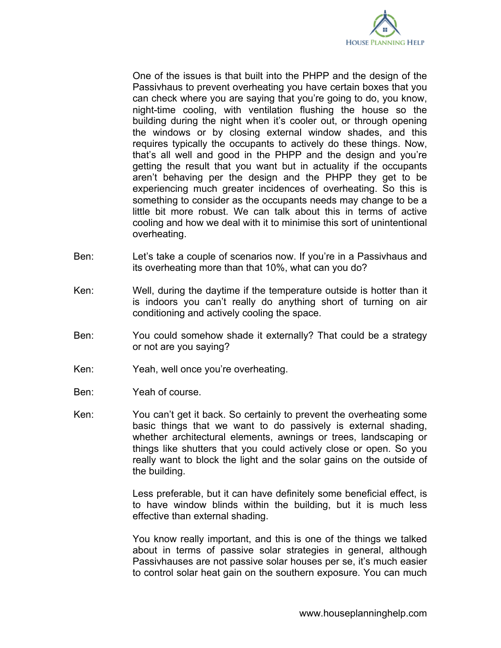

One of the issues is that built into the PHPP and the design of the Passivhaus to prevent overheating you have certain boxes that you can check where you are saying that you're going to do, you know, night-time cooling, with ventilation flushing the house so the building during the night when it's cooler out, or through opening the windows or by closing external window shades, and this requires typically the occupants to actively do these things. Now, that's all well and good in the PHPP and the design and you're getting the result that you want but in actuality if the occupants aren't behaving per the design and the PHPP they get to be experiencing much greater incidences of overheating. So this is something to consider as the occupants needs may change to be a little bit more robust. We can talk about this in terms of active cooling and how we deal with it to minimise this sort of unintentional overheating.

- Ben: Let's take a couple of scenarios now. If you're in a Passivhaus and its overheating more than that 10%, what can you do?
- Ken: Well, during the daytime if the temperature outside is hotter than it is indoors you can't really do anything short of turning on air conditioning and actively cooling the space.
- Ben: You could somehow shade it externally? That could be a strategy or not are you saying?
- Ken: Yeah, well once you're overheating.
- Ben: Yeah of course.
- Ken: You can't get it back. So certainly to prevent the overheating some basic things that we want to do passively is external shading, whether architectural elements, awnings or trees, landscaping or things like shutters that you could actively close or open. So you really want to block the light and the solar gains on the outside of the building.

Less preferable, but it can have definitely some beneficial effect, is to have window blinds within the building, but it is much less effective than external shading.

You know really important, and this is one of the things we talked about in terms of passive solar strategies in general, although Passivhauses are not passive solar houses per se, it's much easier to control solar heat gain on the southern exposure. You can much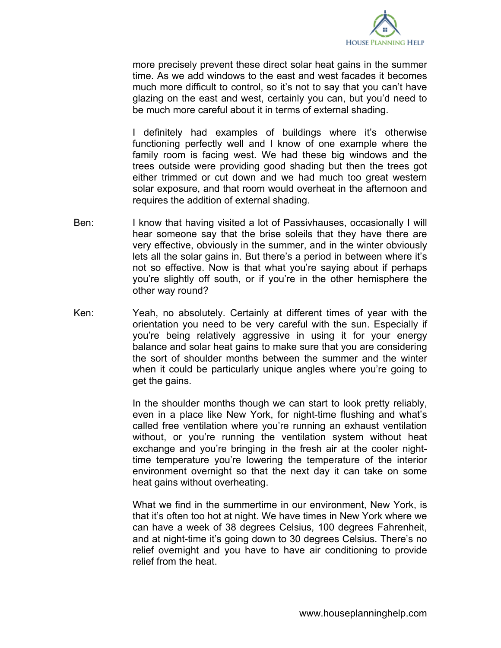

more precisely prevent these direct solar heat gains in the summer time. As we add windows to the east and west facades it becomes much more difficult to control, so it's not to say that you can't have glazing on the east and west, certainly you can, but you'd need to be much more careful about it in terms of external shading.

I definitely had examples of buildings where it's otherwise functioning perfectly well and I know of one example where the family room is facing west. We had these big windows and the trees outside were providing good shading but then the trees got either trimmed or cut down and we had much too great western solar exposure, and that room would overheat in the afternoon and requires the addition of external shading.

- Ben: I know that having visited a lot of Passivhauses, occasionally I will hear someone say that the brise soleils that they have there are very effective, obviously in the summer, and in the winter obviously lets all the solar gains in. But there's a period in between where it's not so effective. Now is that what you're saying about if perhaps you're slightly off south, or if you're in the other hemisphere the other way round?
- Ken: Yeah, no absolutely. Certainly at different times of year with the orientation you need to be very careful with the sun. Especially if you're being relatively aggressive in using it for your energy balance and solar heat gains to make sure that you are considering the sort of shoulder months between the summer and the winter when it could be particularly unique angles where you're going to get the gains.

In the shoulder months though we can start to look pretty reliably, even in a place like New York, for night-time flushing and what's called free ventilation where you're running an exhaust ventilation without, or you're running the ventilation system without heat exchange and you're bringing in the fresh air at the cooler nighttime temperature you're lowering the temperature of the interior environment overnight so that the next day it can take on some heat gains without overheating.

What we find in the summertime in our environment, New York, is that it's often too hot at night. We have times in New York where we can have a week of 38 degrees Celsius, 100 degrees Fahrenheit, and at night-time it's going down to 30 degrees Celsius. There's no relief overnight and you have to have air conditioning to provide relief from the heat.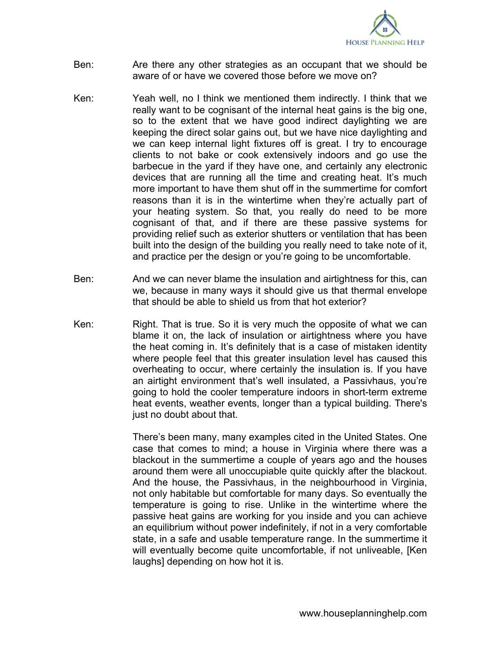

- Ben: Are there any other strategies as an occupant that we should be aware of or have we covered those before we move on?
- Ken: Yeah well, no I think we mentioned them indirectly. I think that we really want to be cognisant of the internal heat gains is the big one, so to the extent that we have good indirect daylighting we are keeping the direct solar gains out, but we have nice daylighting and we can keep internal light fixtures off is great. I try to encourage clients to not bake or cook extensively indoors and go use the barbecue in the yard if they have one, and certainly any electronic devices that are running all the time and creating heat. It's much more important to have them shut off in the summertime for comfort reasons than it is in the wintertime when they're actually part of your heating system. So that, you really do need to be more cognisant of that, and if there are these passive systems for providing relief such as exterior shutters or ventilation that has been built into the design of the building you really need to take note of it, and practice per the design or you're going to be uncomfortable.
- Ben: And we can never blame the insulation and airtightness for this, can we, because in many ways it should give us that thermal envelope that should be able to shield us from that hot exterior?
- Ken: Right. That is true. So it is very much the opposite of what we can blame it on, the lack of insulation or airtightness where you have the heat coming in. It's definitely that is a case of mistaken identity where people feel that this greater insulation level has caused this overheating to occur, where certainly the insulation is. If you have an airtight environment that's well insulated, a Passivhaus, you're going to hold the cooler temperature indoors in short-term extreme heat events, weather events, longer than a typical building. There's just no doubt about that.

There's been many, many examples cited in the United States. One case that comes to mind; a house in Virginia where there was a blackout in the summertime a couple of years ago and the houses around them were all unoccupiable quite quickly after the blackout. And the house, the Passivhaus, in the neighbourhood in Virginia, not only habitable but comfortable for many days. So eventually the temperature is going to rise. Unlike in the wintertime where the passive heat gains are working for you inside and you can achieve an equilibrium without power indefinitely, if not in a very comfortable state, in a safe and usable temperature range. In the summertime it will eventually become quite uncomfortable, if not unliveable, [Ken laughs] depending on how hot it is.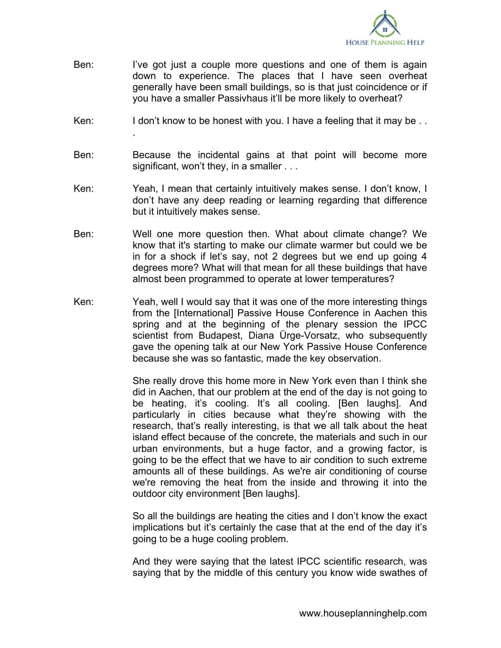

- Ben: I've got just a couple more questions and one of them is again down to experience. The places that I have seen overheat generally have been small buildings, so is that just coincidence or if you have a smaller Passivhaus it'll be more likely to overheat?
- Ken: I don't know to be honest with you. I have a feeling that it may be ...

.

- Ben: Because the incidental gains at that point will become more significant, won't they, in a smaller . . .
- Ken: Yeah, I mean that certainly intuitively makes sense. I don't know, I don't have any deep reading or learning regarding that difference but it intuitively makes sense.
- Ben: Well one more question then. What about climate change? We know that it's starting to make our climate warmer but could we be in for a shock if let's say, not 2 degrees but we end up going 4 degrees more? What will that mean for all these buildings that have almost been programmed to operate at lower temperatures?
- Ken: Yeah, well I would say that it was one of the more interesting things from the [International] Passive House Conference in Aachen this spring and at the beginning of the plenary session the IPCC scientist from Budapest, Diana Ürge-Vorsatz, who subsequently gave the opening talk at our New York Passive House Conference because she was so fantastic, made the key observation.

She really drove this home more in New York even than I think she did in Aachen, that our problem at the end of the day is not going to be heating, it's cooling. It's all cooling. [Ben laughs]. And particularly in cities because what they're showing with the research, that's really interesting, is that we all talk about the heat island effect because of the concrete, the materials and such in our urban environments, but a huge factor, and a growing factor, is going to be the effect that we have to air condition to such extreme amounts all of these buildings. As we're air conditioning of course we're removing the heat from the inside and throwing it into the outdoor city environment [Ben laughs].

So all the buildings are heating the cities and I don't know the exact implications but it's certainly the case that at the end of the day it's going to be a huge cooling problem.

And they were saying that the latest IPCC scientific research, was saying that by the middle of this century you know wide swathes of